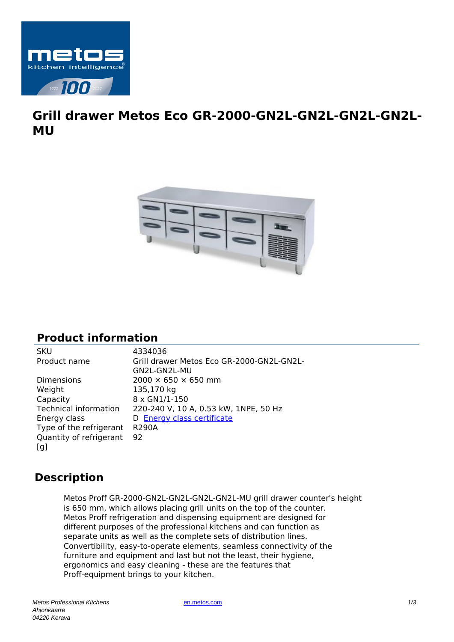

## **Grill drawer Metos Eco GR-2000-GN2L-GN2L-GN2L-GN2L-MU**



## **Product information**

| Dimensions                   |
|------------------------------|
| Weight                       |
| Capacity                     |
| <b>Technical information</b> |
| Energy class                 |
| Type of the refrigerant      |
| Quantity of refrigerant      |
| [q]                          |

SKU 4334036 Grill drawer Metos Eco GR-2000-GN2L-GN2L-GN2L-GN2L-MU  $2000 \times 650 \times 650$  mm 135,170 kg 8 x GN1/1-150 220-240 V, 10 A, 0.53 kW, 1NPE, 50 Hz D **[Energy class certificate](https://www.metos.com/pdf/prods/energy/D/4334036.pdf)** R290A 92

## **Description**

Metos Proff GR-2000-GN2L-GN2L-GN2L-GN2L-MU grill drawer counter's height is 650 mm, which allows placing grill units on the top of the counter. Metos Proff refrigeration and dispensing equipment are designed for different purposes of the professional kitchens and can function as separate units as well as the complete sets of distribution lines. Convertibility, easy-to-operate elements, seamless connectivity of the furniture and equipment and last but not the least, their hygiene, ergonomics and easy cleaning - these are the features that Proff-equipment brings to your kitchen.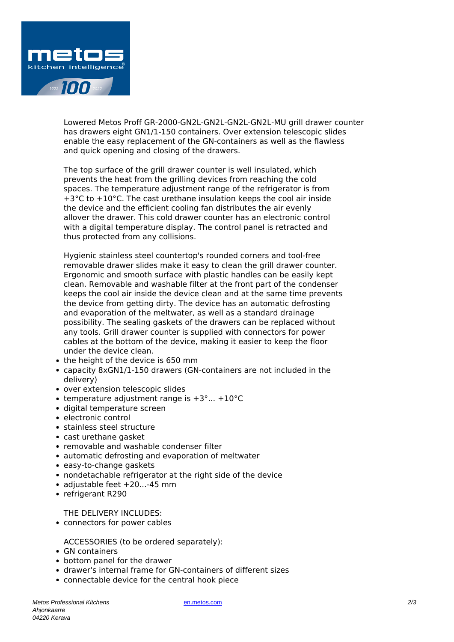

Lowered Metos Proff GR-2000-GN2L-GN2L-GN2L-GN2L-MU grill drawer counter has drawers eight GN1/1-150 containers. Over extension telescopic slides enable the easy replacement of the GN-containers as well as the flawless and quick opening and closing of the drawers.

The top surface of the grill drawer counter is well insulated, which prevents the heat from the grilling devices from reaching the cold spaces. The temperature adjustment range of the refrigerator is from +3°C to +10°C. The cast urethane insulation keeps the cool air inside the device and the efficient cooling fan distributes the air evenly allover the drawer. This cold drawer counter has an electronic control with a digital temperature display. The control panel is retracted and thus protected from any collisions.

Hygienic stainless steel countertop's rounded corners and tool-free removable drawer slides make it easy to clean the grill drawer counter. Ergonomic and smooth surface with plastic handles can be easily kept clean. Removable and washable filter at the front part of the condenser keeps the cool air inside the device clean and at the same time prevents the device from getting dirty. The device has an automatic defrosting and evaporation of the meltwater, as well as a standard drainage possibility. The sealing gaskets of the drawers can be replaced without any tools. Grill drawer counter is supplied with connectors for power cables at the bottom of the device, making it easier to keep the floor under the device clean.

- the height of the device is 650 mm
- capacity 8xGN1/1-150 drawers (GN-containers are not included in the delivery)
- over extension telescopic slides
- temperature adjustment range is  $+3^{\circ}$ ...  $+10^{\circ}$ C
- digital temperature screen
- electronic control
- stainless steel structure
- cast urethane gasket
- removable and washable condenser filter
- automatic defrosting and evaporation of meltwater
- easy-to-change gaskets
- nondetachable refrigerator at the right side of the device
- adjustable feet +20...-45 mm
- refrigerant R290

THE DELIVERY INCLUDES:

connectors for power cables

ACCESSORIES (to be ordered separately):

- GN containers
- bottom panel for the drawer
- drawer's internal frame for GN-containers of different sizes
- connectable device for the central hook piece